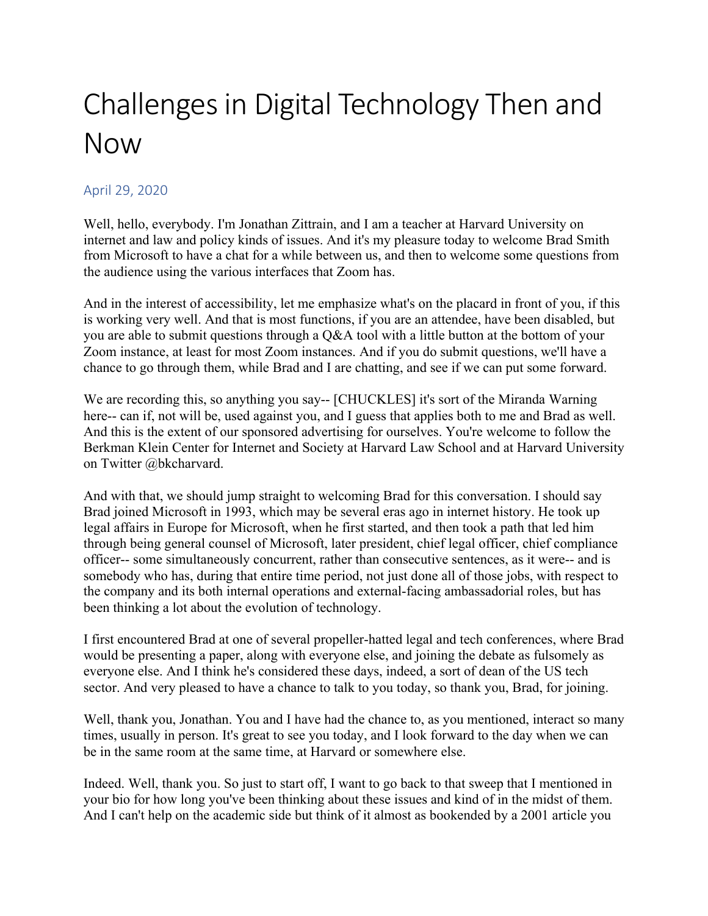## Challenges in Digital Technology Then and Now

## April 29, 2020

Well, hello, everybody. I'm Jonathan Zittrain, and I am a teacher at Harvard University on internet and law and policy kinds of issues. And it's my pleasure today to welcome Brad Smith from Microsoft to have a chat for a while between us, and then to welcome some questions from the audience using the various interfaces that Zoom has.

And in the interest of accessibility, let me emphasize what's on the placard in front of you, if this is working very well. And that is most functions, if you are an attendee, have been disabled, but you are able to submit questions through a Q&A tool with a little button at the bottom of your Zoom instance, at least for most Zoom instances. And if you do submit questions, we'll have a chance to go through them, while Brad and I are chatting, and see if we can put some forward.

We are recording this, so anything you say-- [CHUCKLES] it's sort of the Miranda Warning here-- can if, not will be, used against you, and I guess that applies both to me and Brad as well. And this is the extent of our sponsored advertising for ourselves. You're welcome to follow the Berkman Klein Center for Internet and Society at Harvard Law School and at Harvard University on Twitter @bkcharvard.

 officer-- some simultaneously concurrent, rather than consecutive sentences, as it were-- and is And with that, we should jump straight to welcoming Brad for this conversation. I should say Brad joined Microsoft in 1993, which may be several eras ago in internet history. He took up legal affairs in Europe for Microsoft, when he first started, and then took a path that led him through being general counsel of Microsoft, later president, chief legal officer, chief compliance somebody who has, during that entire time period, not just done all of those jobs, with respect to the company and its both internal operations and external-facing ambassadorial roles, but has been thinking a lot about the evolution of technology.

I first encountered Brad at one of several propeller-hatted legal and tech conferences, where Brad would be presenting a paper, along with everyone else, and joining the debate as fulsomely as everyone else. And I think he's considered these days, indeed, a sort of dean of the US tech sector. And very pleased to have a chance to talk to you today, so thank you, Brad, for joining.

Well, thank you, Jonathan. You and I have had the chance to, as you mentioned, interact so many times, usually in person. It's great to see you today, and I look forward to the day when we can be in the same room at the same time, at Harvard or somewhere else.

Indeed. Well, thank you. So just to start off, I want to go back to that sweep that I mentioned in your bio for how long you've been thinking about these issues and kind of in the midst of them. And I can't help on the academic side but think of it almost as bookended by a 2001 article you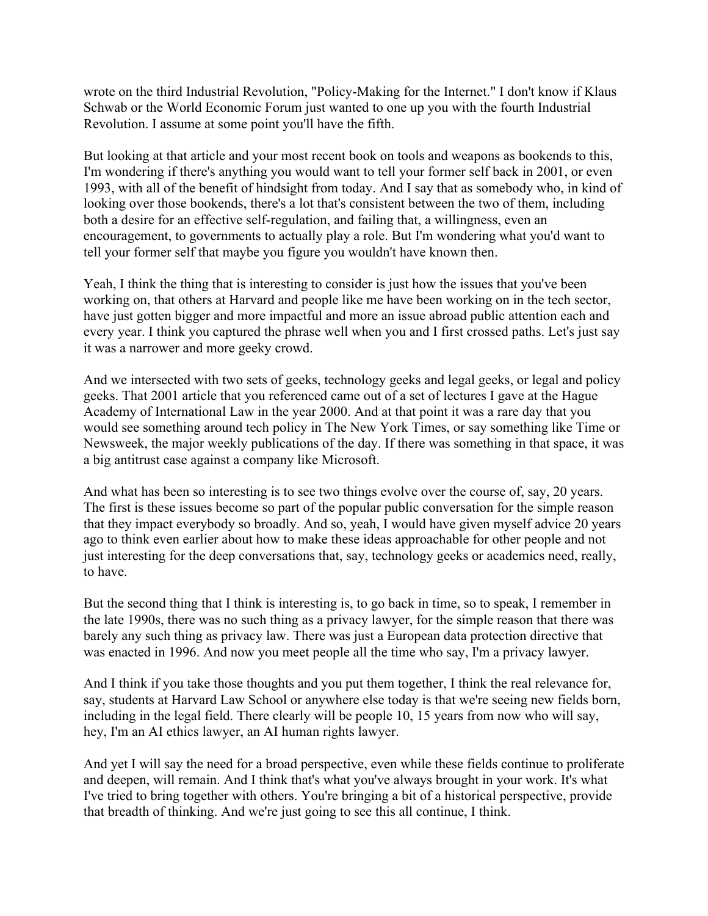wrote on the third Industrial Revolution, "Policy-Making for the Internet." I don't know if Klaus Schwab or the World Economic Forum just wanted to one up you with the fourth Industrial Revolution. I assume at some point you'll have the fifth.

But looking at that article and your most recent book on tools and weapons as bookends to this, I'm wondering if there's anything you would want to tell your former self back in 2001, or even 1993, with all of the benefit of hindsight from today. And I say that as somebody who, in kind of looking over those bookends, there's a lot that's consistent between the two of them, including both a desire for an effective self-regulation, and failing that, a willingness, even an encouragement, to governments to actually play a role. But I'm wondering what you'd want to tell your former self that maybe you figure you wouldn't have known then.

Yeah, I think the thing that is interesting to consider is just how the issues that you've been working on, that others at Harvard and people like me have been working on in the tech sector, have just gotten bigger and more impactful and more an issue abroad public attention each and every year. I think you captured the phrase well when you and I first crossed paths. Let's just say it was a narrower and more geeky crowd.

And we intersected with two sets of geeks, technology geeks and legal geeks, or legal and policy geeks. That 2001 article that you referenced came out of a set of lectures I gave at the Hague Academy of International Law in the year 2000. And at that point it was a rare day that you would see something around tech policy in The New York Times, or say something like Time or Newsweek, the major weekly publications of the day. If there was something in that space, it was a big antitrust case against a company like Microsoft.

And what has been so interesting is to see two things evolve over the course of, say, 20 years. The first is these issues become so part of the popular public conversation for the simple reason that they impact everybody so broadly. And so, yeah, I would have given myself advice 20 years ago to think even earlier about how to make these ideas approachable for other people and not just interesting for the deep conversations that, say, technology geeks or academics need, really, to have.

But the second thing that I think is interesting is, to go back in time, so to speak, I remember in the late 1990s, there was no such thing as a privacy lawyer, for the simple reason that there was barely any such thing as privacy law. There was just a European data protection directive that was enacted in 1996. And now you meet people all the time who say, I'm a privacy lawyer.

And I think if you take those thoughts and you put them together, I think the real relevance for, say, students at Harvard Law School or anywhere else today is that we're seeing new fields born, including in the legal field. There clearly will be people 10, 15 years from now who will say, hey, I'm an AI ethics lawyer, an AI human rights lawyer.

 and deepen, will remain. And I think that's what you've always brought in your work. It's what And yet I will say the need for a broad perspective, even while these fields continue to proliferate I've tried to bring together with others. You're bringing a bit of a historical perspective, provide that breadth of thinking. And we're just going to see this all continue, I think.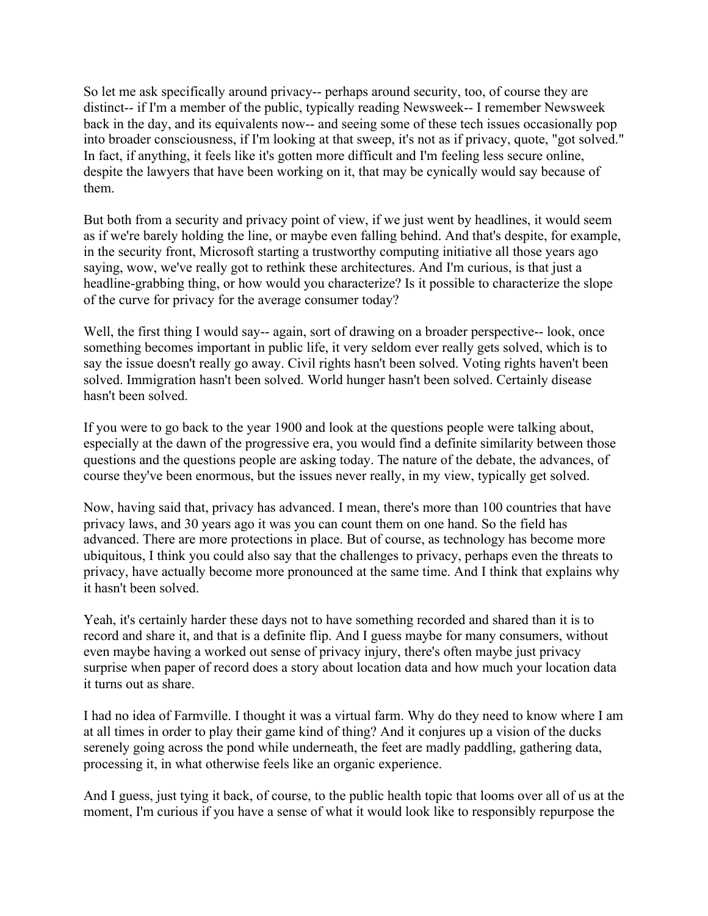So let me ask specifically around privacy-- perhaps around security, too, of course they are distinct-- if I'm a member of the public, typically reading Newsweek-- I remember Newsweek back in the day, and its equivalents now-- and seeing some of these tech issues occasionally pop into broader consciousness, if I'm looking at that sweep, it's not as if privacy, quote, "got solved." In fact, if anything, it feels like it's gotten more difficult and I'm feeling less secure online, despite the lawyers that have been working on it, that may be cynically would say because of them.

of the curve for privacy for the average consumer today? But both from a security and privacy point of view, if we just went by headlines, it would seem as if we're barely holding the line, or maybe even falling behind. And that's despite, for example, in the security front, Microsoft starting a trustworthy computing initiative all those years ago saying, wow, we've really got to rethink these architectures. And I'm curious, is that just a headline-grabbing thing, or how would you characterize? Is it possible to characterize the slope

 of the curve for privacy for the average consumer today? Well, the first thing I would say-- again, sort of drawing on a broader perspective-- look, once something becomes important in public life, it very seldom ever really gets solved, which is to say the issue doesn't really go away. Civil rights hasn't been solved. Voting rights haven't been solved. Immigration hasn't been solved. World hunger hasn't been solved. Certainly disease hasn't been solved.

If you were to go back to the year 1900 and look at the questions people were talking about, especially at the dawn of the progressive era, you would find a definite similarity between those questions and the questions people are asking today. The nature of the debate, the advances, of course they've been enormous, but the issues never really, in my view, typically get solved.

Now, having said that, privacy has advanced. I mean, there's more than 100 countries that have privacy laws, and 30 years ago it was you can count them on one hand. So the field has advanced. There are more protections in place. But of course, as technology has become more ubiquitous, I think you could also say that the challenges to privacy, perhaps even the threats to privacy, have actually become more pronounced at the same time. And I think that explains why it hasn't been solved.

Yeah, it's certainly harder these days not to have something recorded and shared than it is to record and share it, and that is a definite flip. And I guess maybe for many consumers, without even maybe having a worked out sense of privacy injury, there's often maybe just privacy surprise when paper of record does a story about location data and how much your location data it turns out as share.

I had no idea of Farmville. I thought it was a virtual farm. Why do they need to know where I am at all times in order to play their game kind of thing? And it conjures up a vision of the ducks serenely going across the pond while underneath, the feet are madly paddling, gathering data, processing it, in what otherwise feels like an organic experience.

And I guess, just tying it back, of course, to the public health topic that looms over all of us at the moment, I'm curious if you have a sense of what it would look like to responsibly repurpose the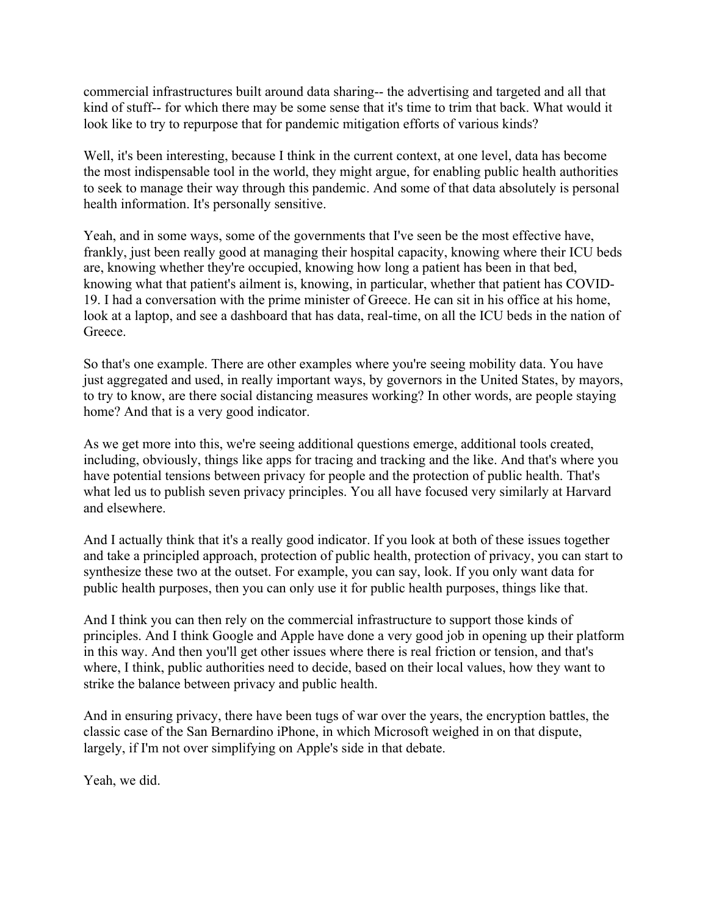look like to try to repurpose that for pandemic mitigation efforts of various kinds? commercial infrastructures built around data sharing-- the advertising and targeted and all that kind of stuff-- for which there may be some sense that it's time to trim that back. What would it

Well, it's been interesting, because I think in the current context, at one level, data has become the most indispensable tool in the world, they might argue, for enabling public health authorities to seek to manage their way through this pandemic. And some of that data absolutely is personal health information. It's personally sensitive.

Yeah, and in some ways, some of the governments that I've seen be the most effective have, frankly, just been really good at managing their hospital capacity, knowing where their ICU beds are, knowing whether they're occupied, knowing how long a patient has been in that bed, knowing what that patient's ailment is, knowing, in particular, whether that patient has COVID-19. I had a conversation with the prime minister of Greece. He can sit in his office at his home, look at a laptop, and see a dashboard that has data, real-time, on all the ICU beds in the nation of Greece.

So that's one example. There are other examples where you're seeing mobility data. You have just aggregated and used, in really important ways, by governors in the United States, by mayors, to try to know, are there social distancing measures working? In other words, are people staying home? And that is a very good indicator.

As we get more into this, we're seeing additional questions emerge, additional tools created, including, obviously, things like apps for tracing and tracking and the like. And that's where you have potential tensions between privacy for people and the protection of public health. That's what led us to publish seven privacy principles. You all have focused very similarly at Harvard and elsewhere.

And I actually think that it's a really good indicator. If you look at both of these issues together and take a principled approach, protection of public health, protection of privacy, you can start to synthesize these two at the outset. For example, you can say, look. If you only want data for public health purposes, then you can only use it for public health purposes, things like that.

And I think you can then rely on the commercial infrastructure to support those kinds of principles. And I think Google and Apple have done a very good job in opening up their platform in this way. And then you'll get other issues where there is real friction or tension, and that's where, I think, public authorities need to decide, based on their local values, how they want to strike the balance between privacy and public health.

And in ensuring privacy, there have been tugs of war over the years, the encryption battles, the classic case of the San Bernardino iPhone, in which Microsoft weighed in on that dispute, largely, if I'm not over simplifying on Apple's side in that debate.

Yeah, we did.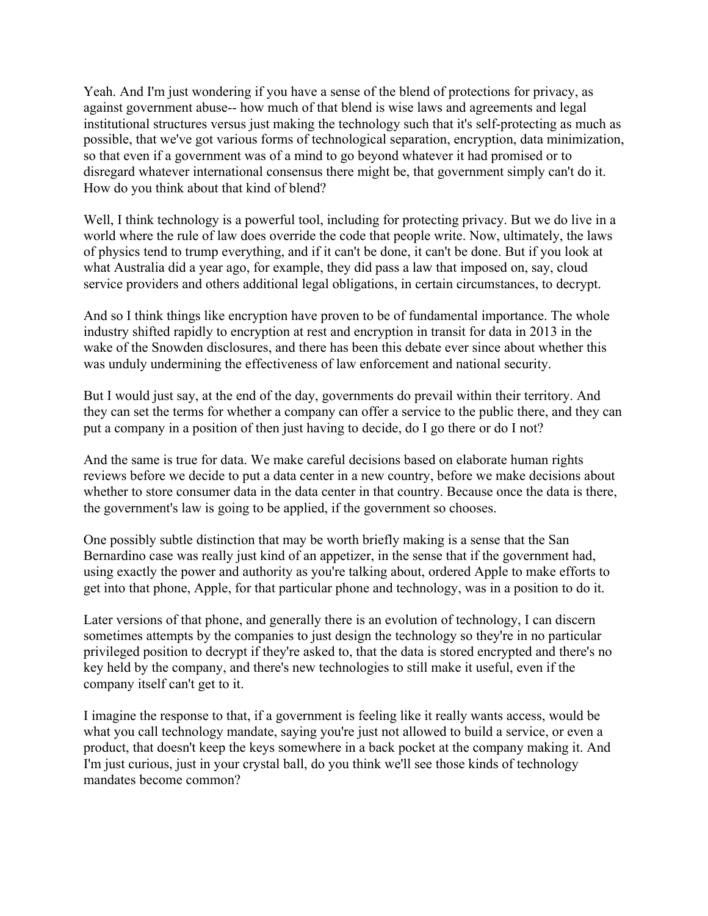How do you think about that kind of blend? Yeah. And I'm just wondering if you have a sense of the blend of protections for privacy, as against government abuse-- how much of that blend is wise laws and agreements and legal institutional structures versus just making the technology such that it's self-protecting as much as possible, that we've got various forms of technological separation, encryption, data minimization, so that even if a government was of a mind to go beyond whatever it had promised or to disregard whatever international consensus there might be, that government simply can't do it.

Well, I think technology is a powerful tool, including for protecting privacy. But we do live in a world where the rule of law does override the code that people write. Now, ultimately, the laws of physics tend to trump everything, and if it can't be done, it can't be done. But if you look at what Australia did a year ago, for example, they did pass a law that imposed on, say, cloud service providers and others additional legal obligations, in certain circumstances, to decrypt.

And so I think things like encryption have proven to be of fundamental importance. The whole industry shifted rapidly to encryption at rest and encryption in transit for data in 2013 in the wake of the Snowden disclosures, and there has been this debate ever since about whether this was unduly undermining the effectiveness of law enforcement and national security.

put a company in a position of then just having to decide, do I go there or do I not? But I would just say, at the end of the day, governments do prevail within their territory. And they can set the terms for whether a company can offer a service to the public there, and they can

And the same is true for data. We make careful decisions based on elaborate human rights reviews before we decide to put a data center in a new country, before we make decisions about whether to store consumer data in the data center in that country. Because once the data is there, the government's law is going to be applied, if the government so chooses.

One possibly subtle distinction that may be worth briefly making is a sense that the San Bernardino case was really just kind of an appetizer, in the sense that if the government had, using exactly the power and authority as you're talking about, ordered Apple to make efforts to get into that phone, Apple, for that particular phone and technology, was in a position to do it.

Later versions of that phone, and generally there is an evolution of technology, I can discern sometimes attempts by the companies to just design the technology so they're in no particular privileged position to decrypt if they're asked to, that the data is stored encrypted and there's no key held by the company, and there's new technologies to still make it useful, even if the company itself can't get to it.

 mandates become common? I imagine the response to that, if a government is feeling like it really wants access, would be what you call technology mandate, saying you're just not allowed to build a service, or even a product, that doesn't keep the keys somewhere in a back pocket at the company making it. And I'm just curious, just in your crystal ball, do you think we'll see those kinds of technology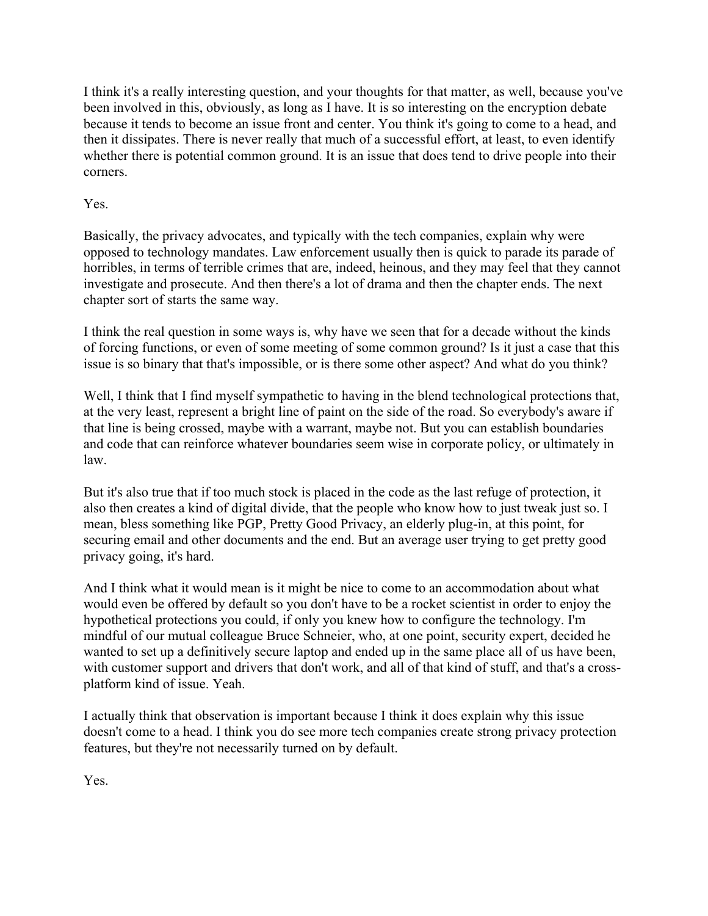I think it's a really interesting question, and your thoughts for that matter, as well, because you've been involved in this, obviously, as long as I have. It is so interesting on the encryption debate because it tends to become an issue front and center. You think it's going to come to a head, and then it dissipates. There is never really that much of a successful effort, at least, to even identify whether there is potential common ground. It is an issue that does tend to drive people into their corners.

## Yes.

Basically, the privacy advocates, and typically with the tech companies, explain why were opposed to technology mandates. Law enforcement usually then is quick to parade its parade of horribles, in terms of terrible crimes that are, indeed, heinous, and they may feel that they cannot investigate and prosecute. And then there's a lot of drama and then the chapter ends. The next chapter sort of starts the same way.

issue is so binary that that's impossible, or is there some other aspect? And what do you think? I think the real question in some ways is, why have we seen that for a decade without the kinds of forcing functions, or even of some meeting of some common ground? Is it just a case that this

Well, I think that I find myself sympathetic to having in the blend technological protections that, at the very least, represent a bright line of paint on the side of the road. So everybody's aware if that line is being crossed, maybe with a warrant, maybe not. But you can establish boundaries and code that can reinforce whatever boundaries seem wise in corporate policy, or ultimately in law.

But it's also true that if too much stock is placed in the code as the last refuge of protection, it also then creates a kind of digital divide, that the people who know how to just tweak just so. I mean, bless something like PGP, Pretty Good Privacy, an elderly plug-in, at this point, for securing email and other documents and the end. But an average user trying to get pretty good privacy going, it's hard.

And I think what it would mean is it might be nice to come to an accommodation about what would even be offered by default so you don't have to be a rocket scientist in order to enjoy the hypothetical protections you could, if only you knew how to configure the technology. I'm mindful of our mutual colleague Bruce Schneier, who, at one point, security expert, decided he wanted to set up a definitively secure laptop and ended up in the same place all of us have been, with customer support and drivers that don't work, and all of that kind of stuff, and that's a crossplatform kind of issue. Yeah.

I actually think that observation is important because I think it does explain why this issue doesn't come to a head. I think you do see more tech companies create strong privacy protection features, but they're not necessarily turned on by default.

Yes.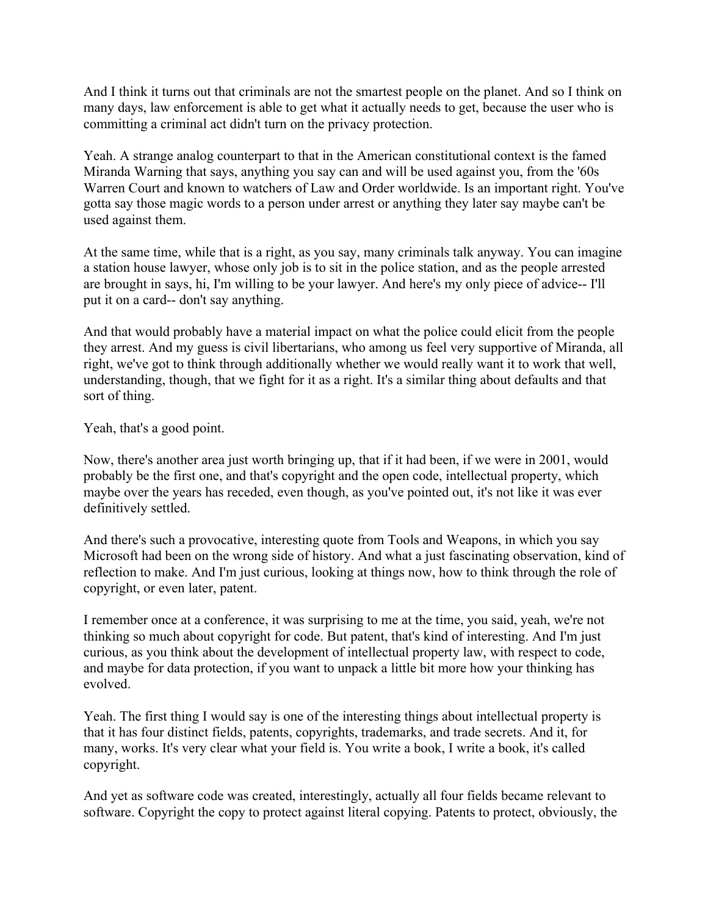And I think it turns out that criminals are not the smartest people on the planet. And so I think on many days, law enforcement is able to get what it actually needs to get, because the user who is committing a criminal act didn't turn on the privacy protection.

Yeah. A strange analog counterpart to that in the American constitutional context is the famed Miranda Warning that says, anything you say can and will be used against you, from the '60s Warren Court and known to watchers of Law and Order worldwide. Is an important right. You've gotta say those magic words to a person under arrest or anything they later say maybe can't be used against them.

 are brought in says, hi, I'm willing to be your lawyer. And here's my only piece of advice-- I'll put it on a card-- don't say anything. At the same time, while that is a right, as you say, many criminals talk anyway. You can imagine a station house lawyer, whose only job is to sit in the police station, and as the people arrested

And that would probably have a material impact on what the police could elicit from the people they arrest. And my guess is civil libertarians, who among us feel very supportive of Miranda, all right, we've got to think through additionally whether we would really want it to work that well, understanding, though, that we fight for it as a right. It's a similar thing about defaults and that sort of thing.

Yeah, that's a good point.

Now, there's another area just worth bringing up, that if it had been, if we were in 2001, would probably be the first one, and that's copyright and the open code, intellectual property, which maybe over the years has receded, even though, as you've pointed out, it's not like it was ever definitively settled.

And there's such a provocative, interesting quote from Tools and Weapons, in which you say Microsoft had been on the wrong side of history. And what a just fascinating observation, kind of reflection to make. And I'm just curious, looking at things now, how to think through the role of copyright, or even later, patent.

I remember once at a conference, it was surprising to me at the time, you said, yeah, we're not thinking so much about copyright for code. But patent, that's kind of interesting. And I'm just curious, as you think about the development of intellectual property law, with respect to code, and maybe for data protection, if you want to unpack a little bit more how your thinking has evolved.

Yeah. The first thing I would say is one of the interesting things about intellectual property is that it has four distinct fields, patents, copyrights, trademarks, and trade secrets. And it, for many, works. It's very clear what your field is. You write a book, I write a book, it's called copyright.

And yet as software code was created, interestingly, actually all four fields became relevant to software. Copyright the copy to protect against literal copying. Patents to protect, obviously, the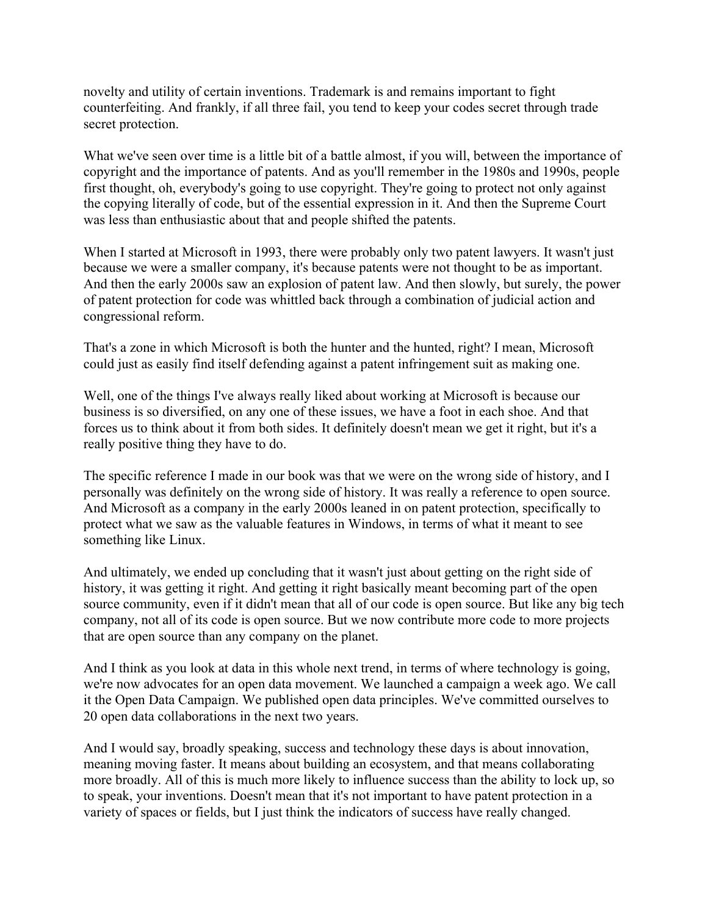novelty and utility of certain inventions. Trademark is and remains important to fight counterfeiting. And frankly, if all three fail, you tend to keep your codes secret through trade secret protection.

What we've seen over time is a little bit of a battle almost, if you will, between the importance of copyright and the importance of patents. And as you'll remember in the 1980s and 1990s, people first thought, oh, everybody's going to use copyright. They're going to protect not only against the copying literally of code, but of the essential expression in it. And then the Supreme Court was less than enthusiastic about that and people shifted the patents.

When I started at Microsoft in 1993, there were probably only two patent lawyers. It wasn't just because we were a smaller company, it's because patents were not thought to be as important. And then the early 2000s saw an explosion of patent law. And then slowly, but surely, the power of patent protection for code was whittled back through a combination of judicial action and congressional reform.

That's a zone in which Microsoft is both the hunter and the hunted, right? I mean, Microsoft could just as easily find itself defending against a patent infringement suit as making one.

Well, one of the things I've always really liked about working at Microsoft is because our business is so diversified, on any one of these issues, we have a foot in each shoe. And that forces us to think about it from both sides. It definitely doesn't mean we get it right, but it's a really positive thing they have to do.

The specific reference I made in our book was that we were on the wrong side of history, and I personally was definitely on the wrong side of history. It was really a reference to open source. And Microsoft as a company in the early 2000s leaned in on patent protection, specifically to protect what we saw as the valuable features in Windows, in terms of what it meant to see something like Linux.

And ultimately, we ended up concluding that it wasn't just about getting on the right side of history, it was getting it right. And getting it right basically meant becoming part of the open source community, even if it didn't mean that all of our code is open source. But like any big tech company, not all of its code is open source. But we now contribute more code to more projects that are open source than any company on the planet.

And I think as you look at data in this whole next trend, in terms of where technology is going, we're now advocates for an open data movement. We launched a campaign a week ago. We call it the Open Data Campaign. We published open data principles. We've committed ourselves to 20 open data collaborations in the next two years.

And I would say, broadly speaking, success and technology these days is about innovation, meaning moving faster. It means about building an ecosystem, and that means collaborating more broadly. All of this is much more likely to influence success than the ability to lock up, so to speak, your inventions. Doesn't mean that it's not important to have patent protection in a variety of spaces or fields, but I just think the indicators of success have really changed.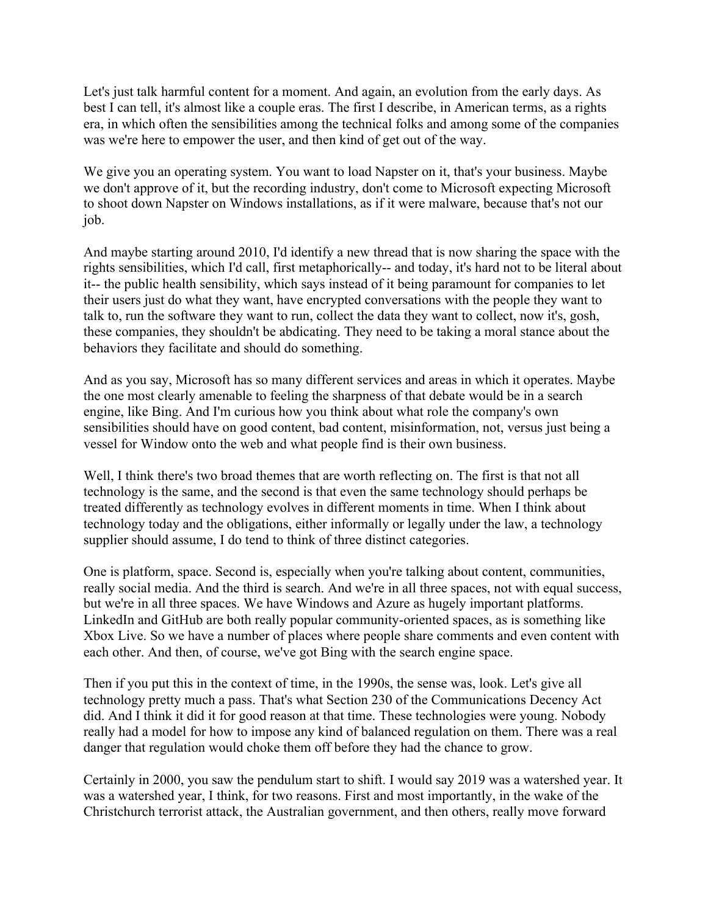Let's just talk harmful content for a moment. And again, an evolution from the early days. As best I can tell, it's almost like a couple eras. The first I describe, in American terms, as a rights era, in which often the sensibilities among the technical folks and among some of the companies was we're here to empower the user, and then kind of get out of the way.

We give you an operating system. You want to load Napster on it, that's your business. Maybe we don't approve of it, but the recording industry, don't come to Microsoft expecting Microsoft to shoot down Napster on Windows installations, as if it were malware, because that's not our job.

And maybe starting around 2010, I'd identify a new thread that is now sharing the space with the rights sensibilities, which I'd call, first metaphorically-- and today, it's hard not to be literal about it-- the public health sensibility, which says instead of it being paramount for companies to let their users just do what they want, have encrypted conversations with the people they want to talk to, run the software they want to run, collect the data they want to collect, now it's, gosh, these companies, they shouldn't be abdicating. They need to be taking a moral stance about the behaviors they facilitate and should do something.

And as you say, Microsoft has so many different services and areas in which it operates. Maybe the one most clearly amenable to feeling the sharpness of that debate would be in a search engine, like Bing. And I'm curious how you think about what role the company's own sensibilities should have on good content, bad content, misinformation, not, versus just being a vessel for Window onto the web and what people find is their own business.

Well, I think there's two broad themes that are worth reflecting on. The first is that not all technology is the same, and the second is that even the same technology should perhaps be treated differently as technology evolves in different moments in time. When I think about technology today and the obligations, either informally or legally under the law, a technology supplier should assume, I do tend to think of three distinct categories.

One is platform, space. Second is, especially when you're talking about content, communities, really social media. And the third is search. And we're in all three spaces, not with equal success, but we're in all three spaces. We have Windows and Azure as hugely important platforms. LinkedIn and GitHub are both really popular community-oriented spaces, as is something like Xbox Live. So we have a number of places where people share comments and even content with each other. And then, of course, we've got Bing with the search engine space.

Then if you put this in the context of time, in the 1990s, the sense was, look. Let's give all technology pretty much a pass. That's what Section 230 of the Communications Decency Act did. And I think it did it for good reason at that time. These technologies were young. Nobody really had a model for how to impose any kind of balanced regulation on them. There was a real danger that regulation would choke them off before they had the chance to grow.

Certainly in 2000, you saw the pendulum start to shift. I would say 2019 was a watershed year. It was a watershed year, I think, for two reasons. First and most importantly, in the wake of the Christchurch terrorist attack, the Australian government, and then others, really move forward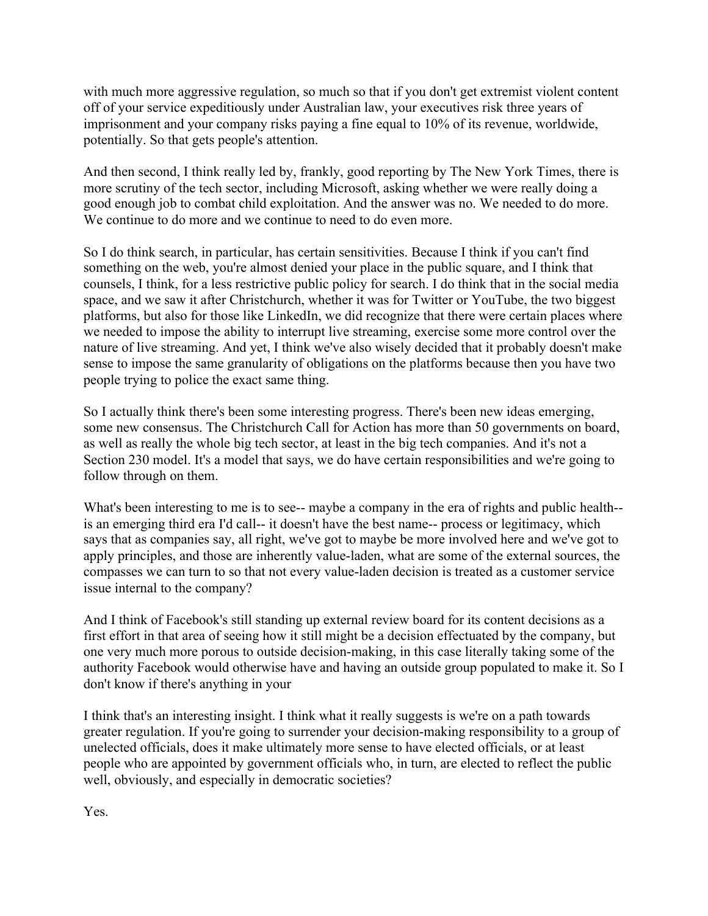with much more aggressive regulation, so much so that if you don't get extremist violent content off of your service expeditiously under Australian law, your executives risk three years of imprisonment and your company risks paying a fine equal to 10% of its revenue, worldwide, potentially. So that gets people's attention.

And then second, I think really led by, frankly, good reporting by The New York Times, there is more scrutiny of the tech sector, including Microsoft, asking whether we were really doing a good enough job to combat child exploitation. And the answer was no. We needed to do more. We continue to do more and we continue to need to do even more.

So I do think search, in particular, has certain sensitivities. Because I think if you can't find something on the web, you're almost denied your place in the public square, and I think that counsels, I think, for a less restrictive public policy for search. I do think that in the social media space, and we saw it after Christchurch, whether it was for Twitter or YouTube, the two biggest platforms, but also for those like LinkedIn, we did recognize that there were certain places where we needed to impose the ability to interrupt live streaming, exercise some more control over the nature of live streaming. And yet, I think we've also wisely decided that it probably doesn't make sense to impose the same granularity of obligations on the platforms because then you have two people trying to police the exact same thing.

So I actually think there's been some interesting progress. There's been new ideas emerging, some new consensus. The Christchurch Call for Action has more than 50 governments on board, as well as really the whole big tech sector, at least in the big tech companies. And it's not a Section 230 model. It's a model that says, we do have certain responsibilities and we're going to follow through on them.

issue internal to the company? What's been interesting to me is to see-- maybe a company in the era of rights and public health- is an emerging third era I'd call-- it doesn't have the best name-- process or legitimacy, which says that as companies say, all right, we've got to maybe be more involved here and we've got to apply principles, and those are inherently value-laden, what are some of the external sources, the compasses we can turn to so that not every value-laden decision is treated as a customer service

And I think of Facebook's still standing up external review board for its content decisions as a first effort in that area of seeing how it still might be a decision effectuated by the company, but one very much more porous to outside decision-making, in this case literally taking some of the authority Facebook would otherwise have and having an outside group populated to make it. So I don't know if there's anything in your

well, obviously, and especially in democratic societies?<br>Yes. I think that's an interesting insight. I think what it really suggests is we're on a path towards greater regulation. If you're going to surrender your decision-making responsibility to a group of unelected officials, does it make ultimately more sense to have elected officials, or at least people who are appointed by government officials who, in turn, are elected to reflect the public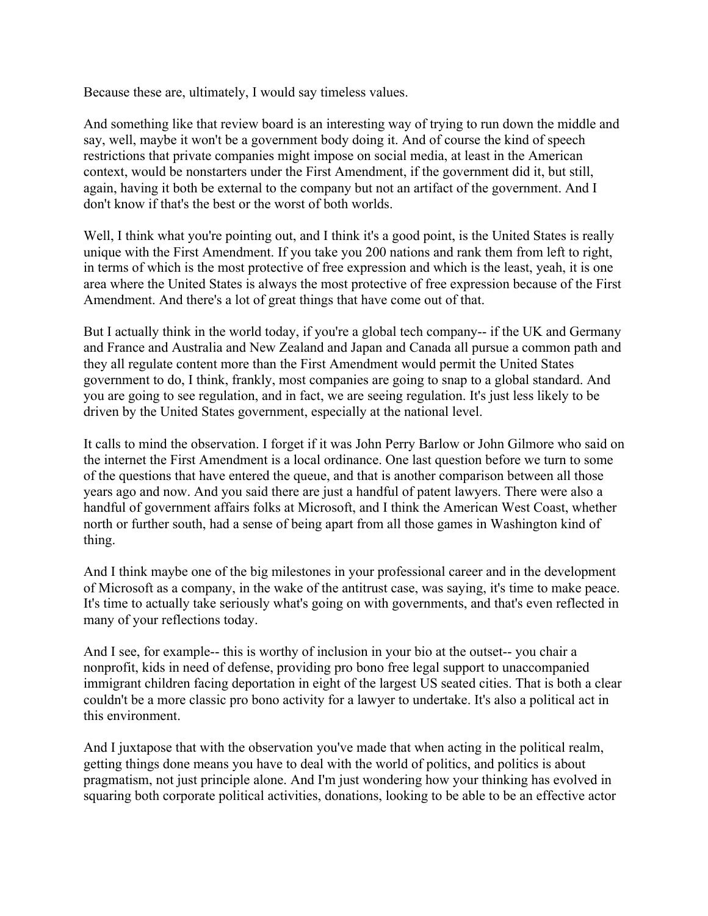Because these are, ultimately, I would say timeless values.

And something like that review board is an interesting way of trying to run down the middle and say, well, maybe it won't be a government body doing it. And of course the kind of speech restrictions that private companies might impose on social media, at least in the American context, would be nonstarters under the First Amendment, if the government did it, but still, again, having it both be external to the company but not an artifact of the government. And I don't know if that's the best or the worst of both worlds.

Well, I think what you're pointing out, and I think it's a good point, is the United States is really unique with the First Amendment. If you take you 200 nations and rank them from left to right, in terms of which is the most protective of free expression and which is the least, yeah, it is one area where the United States is always the most protective of free expression because of the First Amendment. And there's a lot of great things that have come out of that.

But I actually think in the world today, if you're a global tech company-- if the UK and Germany and France and Australia and New Zealand and Japan and Canada all pursue a common path and they all regulate content more than the First Amendment would permit the United States government to do, I think, frankly, most companies are going to snap to a global standard. And you are going to see regulation, and in fact, we are seeing regulation. It's just less likely to be driven by the United States government, especially at the national level.

It calls to mind the observation. I forget if it was John Perry Barlow or John Gilmore who said on the internet the First Amendment is a local ordinance. One last question before we turn to some of the questions that have entered the queue, and that is another comparison between all those years ago and now. And you said there are just a handful of patent lawyers. There were also a handful of government affairs folks at Microsoft, and I think the American West Coast, whether north or further south, had a sense of being apart from all those games in Washington kind of thing.

And I think maybe one of the big milestones in your professional career and in the development of Microsoft as a company, in the wake of the antitrust case, was saying, it's time to make peace. It's time to actually take seriously what's going on with governments, and that's even reflected in many of your reflections today.

 And I see, for example-- this is worthy of inclusion in your bio at the outset-- you chair a nonprofit, kids in need of defense, providing pro bono free legal support to unaccompanied immigrant children facing deportation in eight of the largest US seated cities. That is both a clear couldn't be a more classic pro bono activity for a lawyer to undertake. It's also a political act in this environment.

And I juxtapose that with the observation you've made that when acting in the political realm, getting things done means you have to deal with the world of politics, and politics is about pragmatism, not just principle alone. And I'm just wondering how your thinking has evolved in squaring both corporate political activities, donations, looking to be able to be an effective actor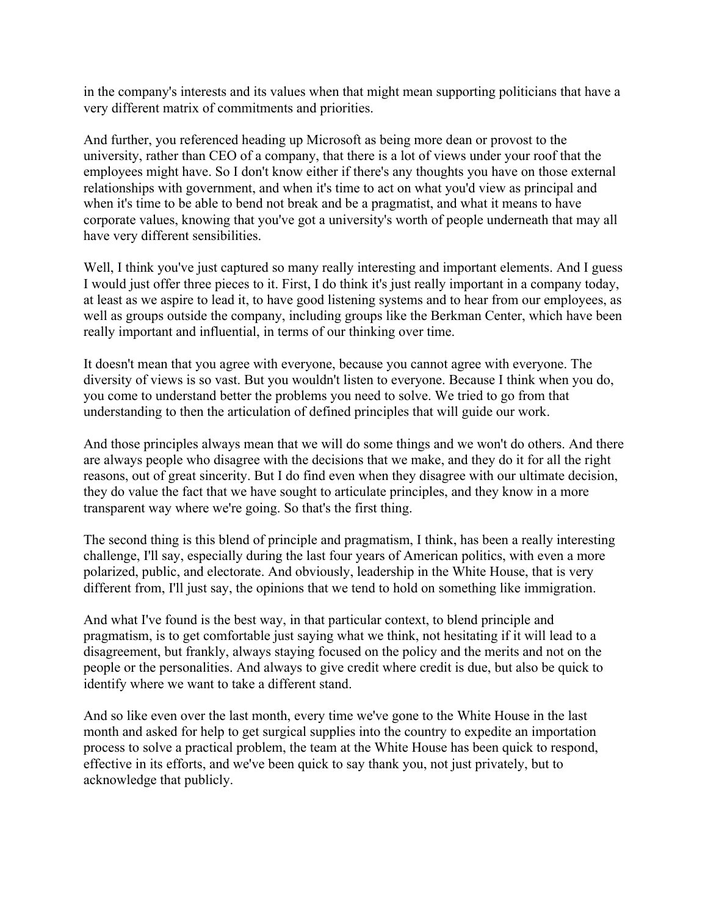in the company's interests and its values when that might mean supporting politicians that have a very different matrix of commitments and priorities.

And further, you referenced heading up Microsoft as being more dean or provost to the university, rather than CEO of a company, that there is a lot of views under your roof that the employees might have. So I don't know either if there's any thoughts you have on those external relationships with government, and when it's time to act on what you'd view as principal and when it's time to be able to bend not break and be a pragmatist, and what it means to have corporate values, knowing that you've got a university's worth of people underneath that may all have very different sensibilities.

Well, I think you've just captured so many really interesting and important elements. And I guess I would just offer three pieces to it. First, I do think it's just really important in a company today, at least as we aspire to lead it, to have good listening systems and to hear from our employees, as well as groups outside the company, including groups like the Berkman Center, which have been really important and influential, in terms of our thinking over time.

It doesn't mean that you agree with everyone, because you cannot agree with everyone. The diversity of views is so vast. But you wouldn't listen to everyone. Because I think when you do, you come to understand better the problems you need to solve. We tried to go from that understanding to then the articulation of defined principles that will guide our work.

And those principles always mean that we will do some things and we won't do others. And there are always people who disagree with the decisions that we make, and they do it for all the right reasons, out of great sincerity. But I do find even when they disagree with our ultimate decision, they do value the fact that we have sought to articulate principles, and they know in a more transparent way where we're going. So that's the first thing.

The second thing is this blend of principle and pragmatism, I think, has been a really interesting challenge, I'll say, especially during the last four years of American politics, with even a more polarized, public, and electorate. And obviously, leadership in the White House, that is very different from, I'll just say, the opinions that we tend to hold on something like immigration.

And what I've found is the best way, in that particular context, to blend principle and pragmatism, is to get comfortable just saying what we think, not hesitating if it will lead to a disagreement, but frankly, always staying focused on the policy and the merits and not on the people or the personalities. And always to give credit where credit is due, but also be quick to identify where we want to take a different stand.

And so like even over the last month, every time we've gone to the White House in the last month and asked for help to get surgical supplies into the country to expedite an importation process to solve a practical problem, the team at the White House has been quick to respond, effective in its efforts, and we've been quick to say thank you, not just privately, but to acknowledge that publicly.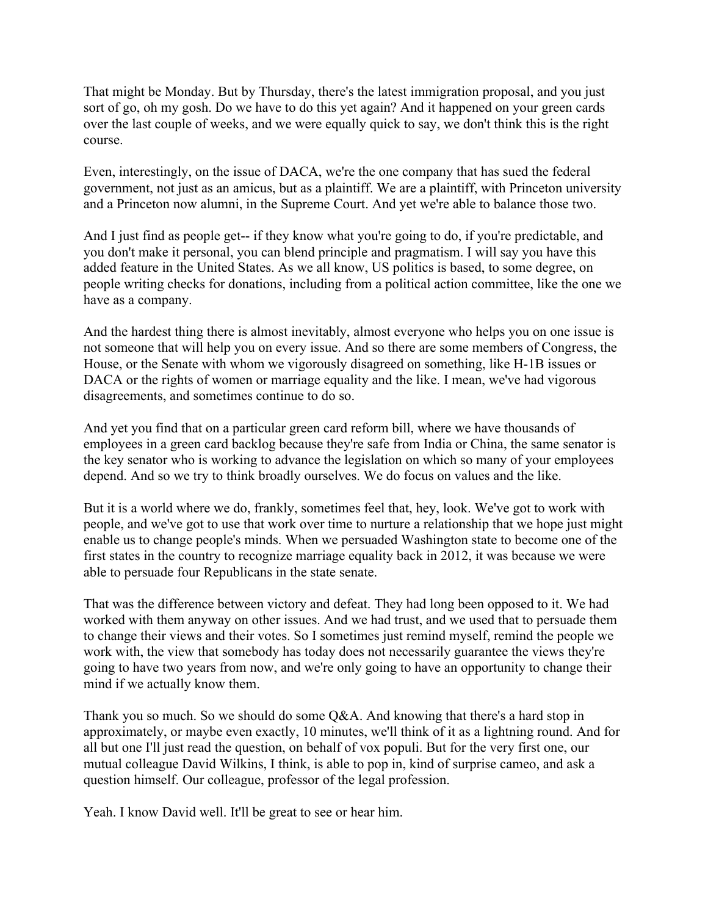That might be Monday. But by Thursday, there's the latest immigration proposal, and you just sort of go, oh my gosh. Do we have to do this yet again? And it happened on your green cards over the last couple of weeks, and we were equally quick to say, we don't think this is the right course.

Even, interestingly, on the issue of DACA, we're the one company that has sued the federal government, not just as an amicus, but as a plaintiff. We are a plaintiff, with Princeton university and a Princeton now alumni, in the Supreme Court. And yet we're able to balance those two.

And I just find as people get-- if they know what you're going to do, if you're predictable, and you don't make it personal, you can blend principle and pragmatism. I will say you have this added feature in the United States. As we all know, US politics is based, to some degree, on people writing checks for donations, including from a political action committee, like the one we have as a company.

And the hardest thing there is almost inevitably, almost everyone who helps you on one issue is not someone that will help you on every issue. And so there are some members of Congress, the House, or the Senate with whom we vigorously disagreed on something, like H-1B issues or DACA or the rights of women or marriage equality and the like. I mean, we've had vigorous disagreements, and sometimes continue to do so.

And yet you find that on a particular green card reform bill, where we have thousands of employees in a green card backlog because they're safe from India or China, the same senator is the key senator who is working to advance the legislation on which so many of your employees depend. And so we try to think broadly ourselves. We do focus on values and the like.

But it is a world where we do, frankly, sometimes feel that, hey, look. We've got to work with people, and we've got to use that work over time to nurture a relationship that we hope just might enable us to change people's minds. When we persuaded Washington state to become one of the first states in the country to recognize marriage equality back in 2012, it was because we were able to persuade four Republicans in the state senate.

That was the difference between victory and defeat. They had long been opposed to it. We had worked with them anyway on other issues. And we had trust, and we used that to persuade them to change their views and their votes. So I sometimes just remind myself, remind the people we work with, the view that somebody has today does not necessarily guarantee the views they're going to have two years from now, and we're only going to have an opportunity to change their mind if we actually know them.

Thank you so much. So we should do some Q&A. And knowing that there's a hard stop in approximately, or maybe even exactly, 10 minutes, we'll think of it as a lightning round. And for all but one I'll just read the question, on behalf of vox populi. But for the very first one, our mutual colleague David Wilkins, I think, is able to pop in, kind of surprise cameo, and ask a question himself. Our colleague, professor of the legal profession.

Yeah. I know David well. It'll be great to see or hear him.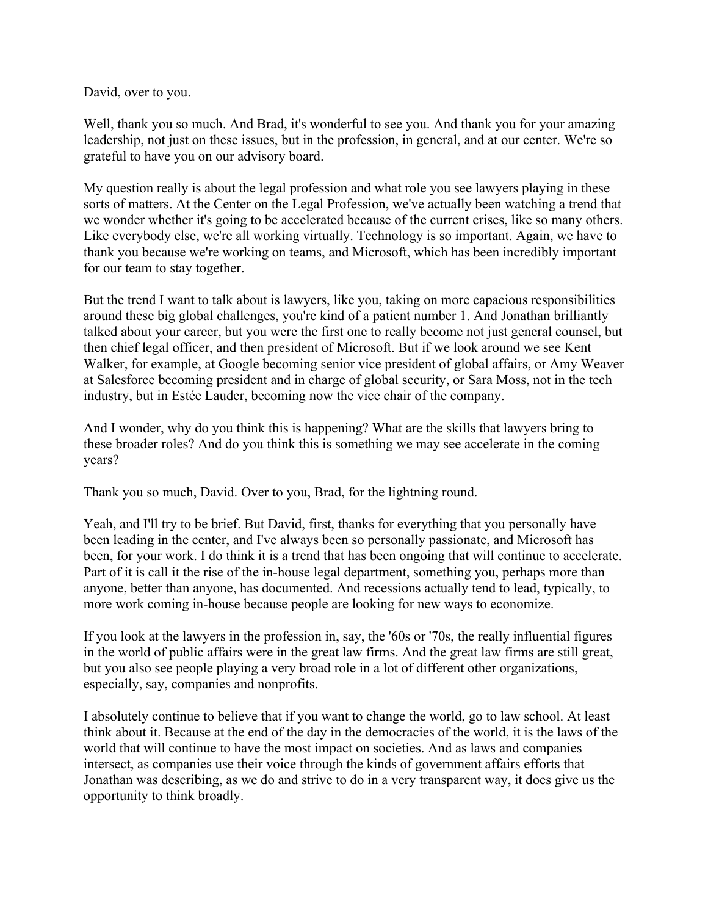David, over to you.

Well, thank you so much. And Brad, it's wonderful to see you. And thank you for your amazing leadership, not just on these issues, but in the profession, in general, and at our center. We're so grateful to have you on our advisory board.

My question really is about the legal profession and what role you see lawyers playing in these sorts of matters. At the Center on the Legal Profession, we've actually been watching a trend that we wonder whether it's going to be accelerated because of the current crises, like so many others. Like everybody else, we're all working virtually. Technology is so important. Again, we have to thank you because we're working on teams, and Microsoft, which has been incredibly important for our team to stay together.

But the trend I want to talk about is lawyers, like you, taking on more capacious responsibilities around these big global challenges, you're kind of a patient number 1. And Jonathan brilliantly talked about your career, but you were the first one to really become not just general counsel, but then chief legal officer, and then president of Microsoft. But if we look around we see Kent Walker, for example, at Google becoming senior vice president of global affairs, or Amy Weaver at Salesforce becoming president and in charge of global security, or Sara Moss, not in the tech industry, but in Estée Lauder, becoming now the vice chair of the company.

years? And I wonder, why do you think this is happening? What are the skills that lawyers bring to these broader roles? And do you think this is something we may see accelerate in the coming

Thank you so much, David. Over to you, Brad, for the lightning round.

Yeah, and I'll try to be brief. But David, first, thanks for everything that you personally have been leading in the center, and I've always been so personally passionate, and Microsoft has been, for your work. I do think it is a trend that has been ongoing that will continue to accelerate. Part of it is call it the rise of the in-house legal department, something you, perhaps more than anyone, better than anyone, has documented. And recessions actually tend to lead, typically, to more work coming in-house because people are looking for new ways to economize.

If you look at the lawyers in the profession in, say, the '60s or '70s, the really influential figures in the world of public affairs were in the great law firms. And the great law firms are still great, but you also see people playing a very broad role in a lot of different other organizations, especially, say, companies and nonprofits.

I absolutely continue to believe that if you want to change the world, go to law school. At least think about it. Because at the end of the day in the democracies of the world, it is the laws of the world that will continue to have the most impact on societies. And as laws and companies intersect, as companies use their voice through the kinds of government affairs efforts that Jonathan was describing, as we do and strive to do in a very transparent way, it does give us the opportunity to think broadly.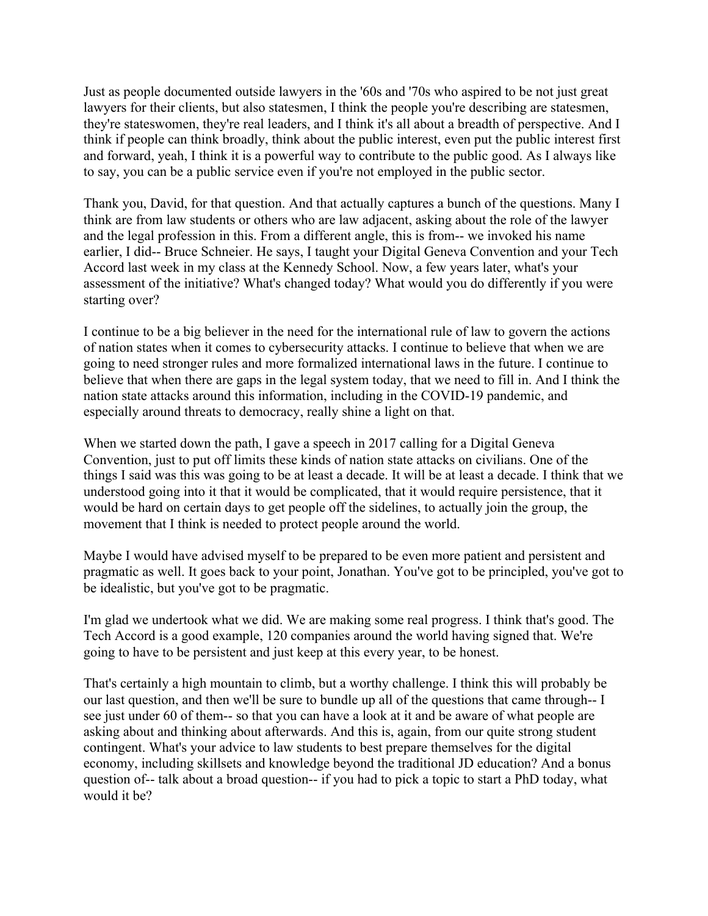Just as people documented outside lawyers in the '60s and '70s who aspired to be not just great lawyers for their clients, but also statesmen, I think the people you're describing are statesmen, they're stateswomen, they're real leaders, and I think it's all about a breadth of perspective. And I think if people can think broadly, think about the public interest, even put the public interest first and forward, yeah, I think it is a powerful way to contribute to the public good. As I always like to say, you can be a public service even if you're not employed in the public sector.

starting over? Thank you, David, for that question. And that actually captures a bunch of the questions. Many I think are from law students or others who are law adjacent, asking about the role of the lawyer and the legal profession in this. From a different angle, this is from-- we invoked his name earlier, I did-- Bruce Schneier. He says, I taught your Digital Geneva Convention and your Tech Accord last week in my class at the Kennedy School. Now, a few years later, what's your assessment of the initiative? What's changed today? What would you do differently if you were

I continue to be a big believer in the need for the international rule of law to govern the actions of nation states when it comes to cybersecurity attacks. I continue to believe that when we are going to need stronger rules and more formalized international laws in the future. I continue to believe that when there are gaps in the legal system today, that we need to fill in. And I think the nation state attacks around this information, including in the COVID-19 pandemic, and especially around threats to democracy, really shine a light on that.

When we started down the path, I gave a speech in 2017 calling for a Digital Geneva Convention, just to put off limits these kinds of nation state attacks on civilians. One of the things I said was this was going to be at least a decade. It will be at least a decade. I think that we understood going into it that it would be complicated, that it would require persistence, that it would be hard on certain days to get people off the sidelines, to actually join the group, the movement that I think is needed to protect people around the world.

Maybe I would have advised myself to be prepared to be even more patient and persistent and pragmatic as well. It goes back to your point, Jonathan. You've got to be principled, you've got to be idealistic, but you've got to be pragmatic.

I'm glad we undertook what we did. We are making some real progress. I think that's good. The Tech Accord is a good example, 120 companies around the world having signed that. We're going to have to be persistent and just keep at this every year, to be honest.

 would it be? That's certainly a high mountain to climb, but a worthy challenge. I think this will probably be our last question, and then we'll be sure to bundle up all of the questions that came through-- I see just under 60 of them-- so that you can have a look at it and be aware of what people are asking about and thinking about afterwards. And this is, again, from our quite strong student contingent. What's your advice to law students to best prepare themselves for the digital economy, including skillsets and knowledge beyond the traditional JD education? And a bonus question of-- talk about a broad question-- if you had to pick a topic to start a PhD today, what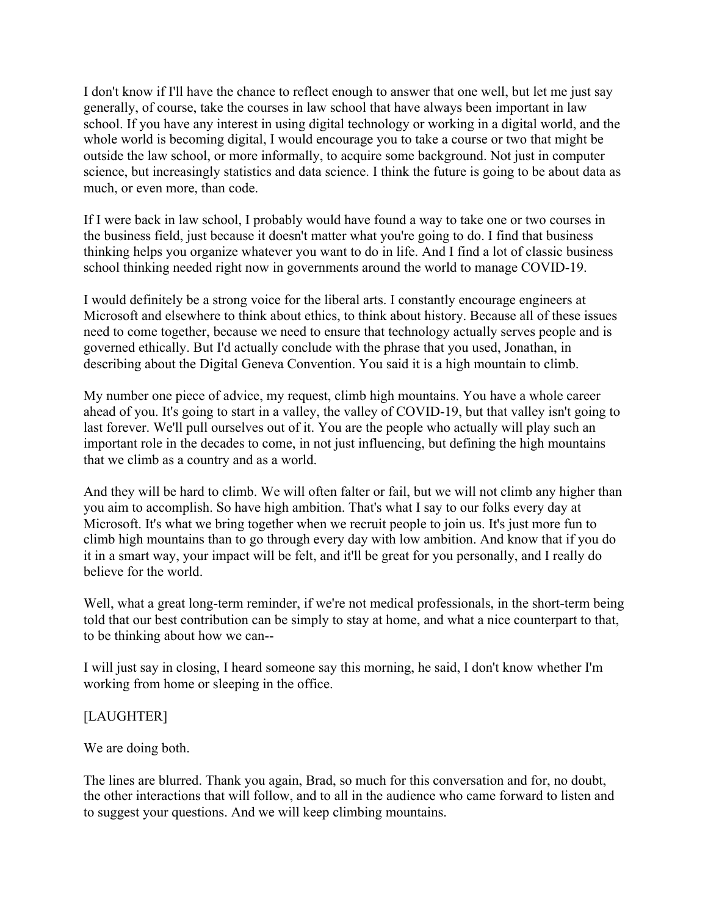I don't know if I'll have the chance to reflect enough to answer that one well, but let me just say generally, of course, take the courses in law school that have always been important in law school. If you have any interest in using digital technology or working in a digital world, and the whole world is becoming digital, I would encourage you to take a course or two that might be outside the law school, or more informally, to acquire some background. Not just in computer science, but increasingly statistics and data science. I think the future is going to be about data as much, or even more, than code.

If I were back in law school, I probably would have found a way to take one or two courses in the business field, just because it doesn't matter what you're going to do. I find that business thinking helps you organize whatever you want to do in life. And I find a lot of classic business school thinking needed right now in governments around the world to manage COVID-19.

I would definitely be a strong voice for the liberal arts. I constantly encourage engineers at Microsoft and elsewhere to think about ethics, to think about history. Because all of these issues need to come together, because we need to ensure that technology actually serves people and is governed ethically. But I'd actually conclude with the phrase that you used, Jonathan, in describing about the Digital Geneva Convention. You said it is a high mountain to climb.

My number one piece of advice, my request, climb high mountains. You have a whole career ahead of you. It's going to start in a valley, the valley of COVID-19, but that valley isn't going to last forever. We'll pull ourselves out of it. You are the people who actually will play such an important role in the decades to come, in not just influencing, but defining the high mountains that we climb as a country and as a world.

And they will be hard to climb. We will often falter or fail, but we will not climb any higher than you aim to accomplish. So have high ambition. That's what I say to our folks every day at Microsoft. It's what we bring together when we recruit people to join us. It's just more fun to climb high mountains than to go through every day with low ambition. And know that if you do it in a smart way, your impact will be felt, and it'll be great for you personally, and I really do believe for the world.

 to be thinking about how we can-- Well, what a great long-term reminder, if we're not medical professionals, in the short-term being told that our best contribution can be simply to stay at home, and what a nice counterpart to that,

I will just say in closing, I heard someone say this morning, he said, I don't know whether I'm working from home or sleeping in the office.

## [LAUGHTER]

We are doing both.

The lines are blurred. Thank you again, Brad, so much for this conversation and for, no doubt, the other interactions that will follow, and to all in the audience who came forward to listen and to suggest your questions. And we will keep climbing mountains.